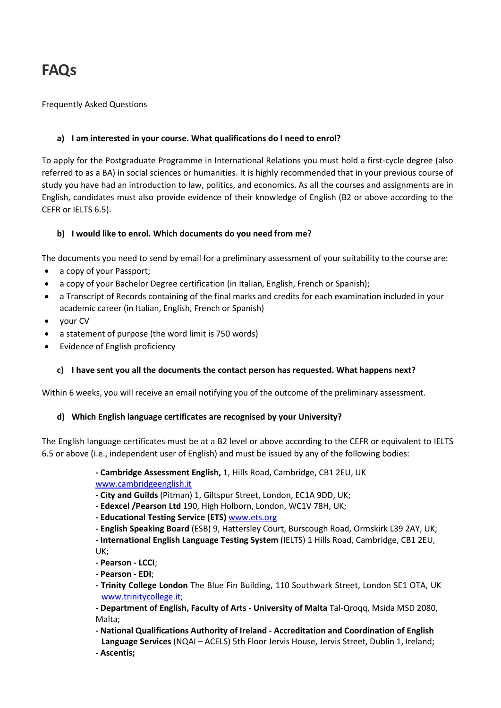# FAQs

## Frequently Asked Questions

## a) I am interested in your course. What qualifications do I need to enrol?

To apply for the Postgraduate Programme in International Relations you must hold a first-cycle degree (also referred to as a BA) in social sciences or humanities. It is highly recommended that in your previous course of study you have had an introduction to law, politics, and economics. As all the courses and assignments are in English, candidates must also provide evidence of their knowledge of English (B2 or above according to the CEFR or IELTS 6.5).

# b) I would like to enrol. Which documents do you need from me?

The documents you need to send by email for a preliminary assessment of your suitability to the course are:

- a copy of your Passport;
- a copy of your Bachelor Degree certification (in Italian, English, French or Spanish);
- a Transcript of Records containing of the final marks and credits for each examination included in your academic career (in Italian, English, French or Spanish)
- your CV
- a statement of purpose (the word limit is 750 words)
- Evidence of English proficiency

#### c) I have sent you all the documents the contact person has requested. What happens next?

Within 6 weeks, you will receive an email notifying you of the outcome of the preliminary assessment.

#### d) Which English language certificates are recognised by your University?

The English language certificates must be at a B2 level or above according to the CEFR or equivalent to IELTS 6.5 or above (i.e., independent user of English) and must be issued by any of the following bodies:

> - Cambridge Assessment English, 1, Hills Road, Cambridge, CB1 2EU, UK www.cambridgeenglish.it

- City and Guilds (Pitman) 1, Giltspur Street, London, EC1A 9DD, UK;

- Edexcel /Pearson Ltd 190, High Holborn, London, WC1V 78H, UK;

- Educational Testing Service (ETS) www.ets.org

- English Speaking Board (ESB) 9, Hattersley Court, Burscough Road, Ormskirk L39 2AY, UK;

- International English Language Testing System (IELTS) 1 Hills Road, Cambridge, CB1 2EU, UK;

- Pearson LCCI;
- Pearson EDI;
- Trinity College London The Blue Fin Building, 110 Southwark Street, London SE1 OTA, UK www.trinitycollege.it;

- Department of English, Faculty of Arts - University of Malta Tal-Qroqq, Msida MSD 2080, Malta;

- National Qualifications Authority of Ireland - Accreditation and Coordination of English Language Services (NQAI – ACELS) 5th Floor Jervis House, Jervis Street, Dublin 1, Ireland; - Ascentis;